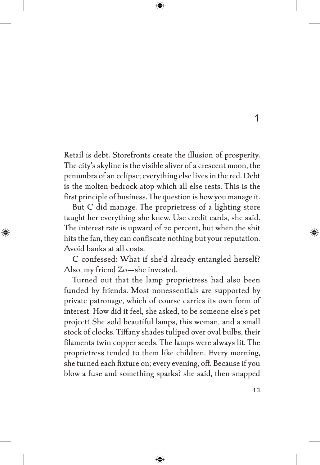Retail is debt. Storefronts create the illusion of prosperity. The city's skyline is the visible sliver of a crescent moon, the penumbra of an eclipse; everything else lives in the red. Debt is the molten bedrock atop which all else rests. This is the first principle of business. The question is how you manage it.

⊕

But C did manage. The proprietress of a lighting store taught her everything she knew. Use credit cards, she said. The interest rate is upward of 20 percent, but when the shit hits the fan, they can confiscate nothing but your reputation. Avoid banks at all costs.

⊕

C confessed: What if she'd already entangled herself? Also, my friend Zo—she invested.

Turned out that the lamp proprietress had also been funded by friends. Most nonessentials are supported by private patronage, which of course carries its own form of interest. How did it feel, she asked, to be someone else's pet project? She sold beautiful lamps, this woman, and a small stock of clocks. Tiffany shades tuliped over oval bulbs, their filaments twin copper seeds. The lamps were always lit. The proprietress tended to them like children. Every morning, she turned each fixture on; every evening, off. Because if you blow a fuse and something sparks? she said, then snapped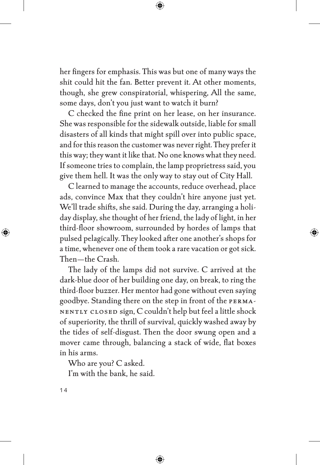her fingers for emphasis. This was but one of many ways the shit could hit the fan. Better prevent it. At other moments, though, she grew conspiratorial, whispering, All the same, some days, don't you just want to watch it burn?

⊕

C checked the fine print on her lease, on her insurance. She was responsible for the sidewalk outside, liable for small disasters of all kinds that might spill over into public space, and for this reason the customer was never right. They prefer it this way; they want it like that. No one knows what they need. If someone tries to complain, the lamp proprietress said, you give them hell. It was the only way to stay out of City Hall.

C learned to manage the accounts, reduce overhead, place ads, convince Max that they couldn't hire anyone just yet. We'll trade shifts, she said. During the day, arranging a holiday display, she thought of her friend, the lady of light, in her third-floor showroom, surrounded by hordes of lamps that pulsed pelagically. They looked after one another's shops for a time, whenever one of them took a rare vacation or got sick. Then—the Crash.

The lady of the lamps did not survive. C arrived at the dark-blue door of her building one day, on break, to ring the third-floor buzzer. Her mentor had gone without even saying goodbye. Standing there on the step in front of the permanently closed sign, C couldn't help but feel a little shock of superiority, the thrill of survival, quickly washed away by the tides of self-disgust. Then the door swung open and a mover came through, balancing a stack of wide, flat boxes in his arms.

⊕

Who are you? C asked.

I'm with the bank, he said.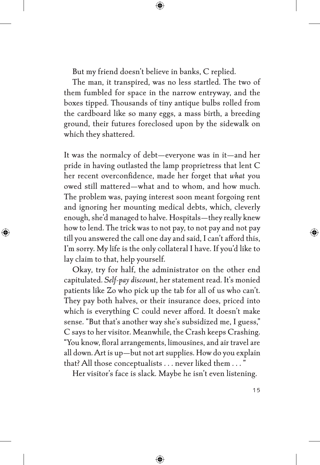But my friend doesn't believe in banks, C replied.

⊕

The man, it transpired, was no less startled. The two of them fumbled for space in the narrow entryway, and the boxes tipped. Thousands of tiny antique bulbs rolled from the cardboard like so many eggs, a mass birth, a breeding ground, their futures foreclosed upon by the sidewalk on which they shattered.

It was the normalcy of debt—everyone was in it—and her pride in having outlasted the lamp proprietress that lent C her recent overconfidence, made her forget that *what* you owed still mattered—what and to whom, and how much. The problem was, paying interest soon meant forgoing rent and ignoring her mounting medical debts, which, cleverly enough, she'd managed to halve. Hospitals—they really knew how to lend. The trick was to not pay, to not pay and not pay till you answered the call one day and said, I can't afford this, I'm sorry. My life is the only collateral I have. If you'd like to lay claim to that, help yourself.

⊕

Okay, try for half, the administrator on the other end capitulated. *Self-pay discount*, her statement read. It's monied patients like Zo who pick up the tab for all of us who can't. They pay both halves, or their insurance does, priced into which is everything C could never afford. It doesn't make sense. "But that's another way she's subsidized me, I guess," C says to her visitor. Meanwhile, the Crash keeps Crashing. "You know, floral arrangements, limousines, and air travel are all down. Art is up—but not art supplies. How do you explain that? All those conceptualists . . . never liked them . . . "

Her visitor's face is slack. Maybe he isn't even listening.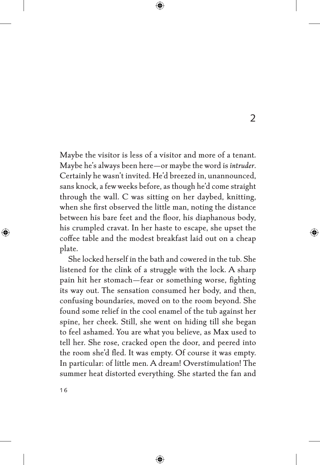Maybe the visitor is less of a visitor and more of a tenant. Maybe he's always been here—or maybe the word is *intruder*. Certainly he wasn't invited. He'd breezed in, unannounced, sans knock, a few weeks before, as though he'd come straight through the wall. C was sitting on her daybed, knitting, when she first observed the little man, noting the distance between his bare feet and the floor, his diaphanous body, his crumpled cravat. In her haste to escape, she upset the coffee table and the modest breakfast laid out on a cheap plate.

⊕

She locked herself in the bath and cowered in the tub. She listened for the clink of a struggle with the lock. A sharp pain hit her stomach—fear or something worse, fighting its way out. The sensation consumed her body, and then, confusing boundaries, moved on to the room beyond. She found some relief in the cool enamel of the tub against her spine, her cheek. Still, she went on hiding till she began to feel ashamed. You are what you believe, as Max used to tell her. She rose, cracked open the door, and peered into the room she'd fled. It was empty. Of course it was empty. In particular: of little men. A dream! Overstimulation! The summer heat distorted everything. She started the fan and

⊕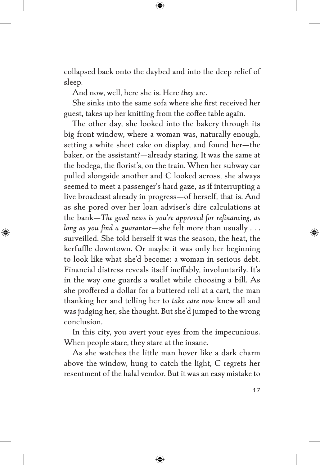collapsed back onto the daybed and into the deep relief of sleep.

⊕

And now, well, here she is. Here *they* are.

She sinks into the same sofa where she first received her guest, takes up her knitting from the coffee table again.

The other day, she looked into the bakery through its big front window, where a woman was, naturally enough, setting a white sheet cake on display, and found her—the baker, or the assistant?—already staring. It was the same at the bodega, the florist's, on the train. When her subway car pulled alongside another and C looked across, she always seemed to meet a passenger's hard gaze, as if interrupting a live broadcast already in progress—of herself, that is. And as she pored over her loan adviser's dire calculations at the bank—*The good news is you're approved for refinancing, as long as you find a guarantor*—she felt more than usually . . . surveilled. She told herself it was the season, the heat, the kerfuffle downtown. Or maybe it was only her beginning to look like what she'd become: a woman in serious debt. Financial distress reveals itself ineffably, involuntarily. It's in the way one guards a wallet while choosing a bill. As she proffered a dollar for a buttered roll at a cart, the man thanking her and telling her to *take care now* knew all and was judging her, she thought. But she'd jumped to the wrong conclusion.

⊕

In this city, you avert your eyes from the impecunious. When people stare, they stare at the insane.

As she watches the little man hover like a dark charm above the window, hung to catch the light, C regrets her resentment of the halal vendor. But it was an easy mistake to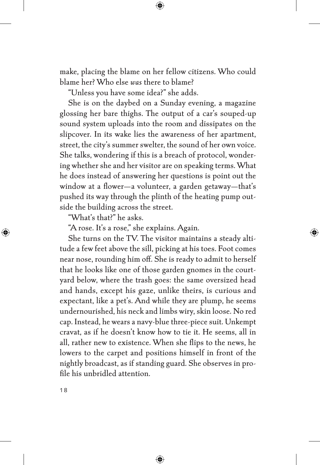make, placing the blame on her fellow citizens. Who could blame her? Who else *was* there to blame?

⊕

"Unless you have some idea?" she adds.

She is on the daybed on a Sunday evening, a magazine glossing her bare thighs. The output of a car's souped-up sound system uploads into the room and dissipates on the slipcover. In its wake lies the awareness of her apartment, street, the city's summer swelter, the sound of her own voice. She talks, wondering if this is a breach of protocol, wondering whether she and her visitor are on speaking terms. What he does instead of answering her questions is point out the window at a flower—a volunteer, a garden getaway—that's pushed its way through the plinth of the heating pump outside the building across the street.

"What's that?" he asks.

"A rose. It's a rose," she explains. Again.

She turns on the TV. The visitor maintains a steady altitude a few feet above the sill, picking at his toes. Foot comes near nose, rounding him off. She is ready to admit to herself that he looks like one of those garden gnomes in the courtyard below, where the trash goes: the same oversized head and hands, except his gaze, unlike theirs, is curious and expectant, like a pet's. And while they are plump, he seems undernourished, his neck and limbs wiry, skin loose. No red cap. Instead, he wears a navy-blue three-piece suit. Unkempt cravat, as if he doesn't know how to tie it. He seems, all in all, rather new to existence. When she flips to the news, he lowers to the carpet and positions himself in front of the nightly broadcast, as if standing guard. She observes in profile his unbridled attention.

⊕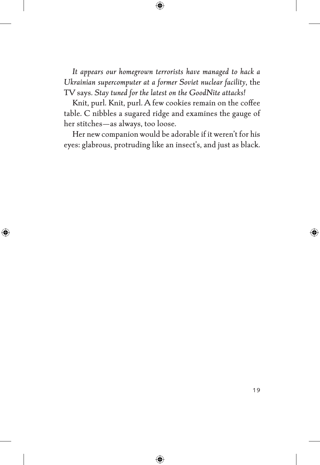*It appears our homegrown terrorists have managed to hack a Ukrainian supercomputer at a former Soviet nuclear facility*, the TV says. *Stay tuned for the latest on the GoodNite attacks!*

 $\bigoplus$ 

Knit, purl. Knit, purl. A few cookies remain on the coffee table. C nibbles a sugared ridge and examines the gauge of her stitches—as always, too loose.

Her new companion would be adorable if it weren't for his eyes: glabrous, protruding like an insect's, and just as black.

⊕

⊕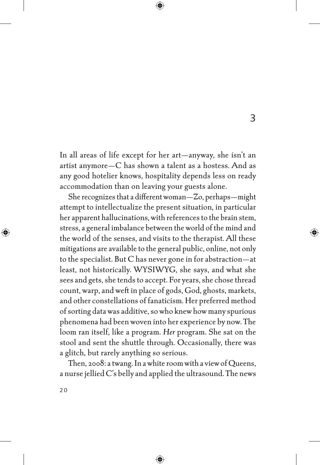In all areas of life except for her art—anyway, she isn't an artist anymore—C has shown a talent as a hostess. And as any good hotelier knows, hospitality depends less on ready accommodation than on leaving your guests alone.

⊕

She recognizes that a different woman—Zo, perhaps—might attempt to intellectualize the present situation, in particular her apparent hallucinations, with references to the brain stem, stress, a general imbalance between the world of the mind and the world of the senses, and visits to the therapist. All these mitigations are available to the general public, online, not only to the specialist. But C has never gone in for abstraction—at least, not historically. WYSIWYG, she says, and what she sees and gets, she tends to accept. For years, she chose thread count, warp, and weft in place of gods, God, ghosts, markets, and other constellations of fanaticism. Her preferred method of sorting data was additive, so who knew how many spurious phenomena had been woven into her experience by now. The loom ran itself, like a program. *Her* program. She sat on the stool and sent the shuttle through. Occasionally, there was a glitch, but rarely anything so serious.

Then, 2008: a twang. In a white room with a view of Queens, a nurse jellied C's belly and applied the ultrasound. The news

⊕

3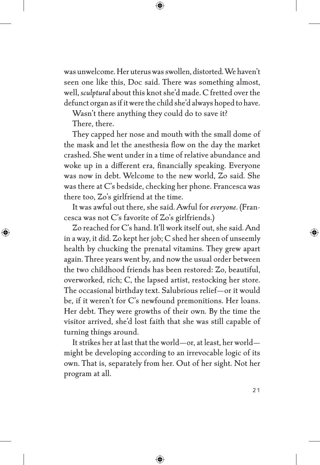was unwelcome. Her uterus was swollen, distorted. We haven't seen one like this, Doc said. There was something almost, well, *sculptural* about this knot she'd made. C fretted over the defunct organ as if it were the child she'd always hoped to have.

 $\bigoplus$ 

Wasn't there anything they could do to save it?

There, there.

⊕

They capped her nose and mouth with the small dome of the mask and let the anesthesia flow on the day the market crashed. She went under in a time of relative abundance and woke up in a different era, financially speaking. Everyone was now in debt. Welcome to the new world, Zo said. She was there at C's bedside, checking her phone. Francesca was there too, Zo's girlfriend at the time.

It was awful out there, she said. Awful for *everyone*. (Francesca was not C's favorite of Zo's girlfriends.)

Zo reached for C's hand. It'll work itself out, she said. And in a way, it did. Zo kept her job; C shed her sheen of unseemly health by chucking the prenatal vitamins. They grew apart again. Three years went by, and now the usual order between the two childhood friends has been restored: Zo, beautiful, overworked, rich; C, the lapsed artist, restocking her store. The occasional birthday text. Salubrious relief—or it would be, if it weren't for C's newfound premonitions. Her loans. Her debt. They were growths of their own. By the time the visitor arrived, she'd lost faith that she was still capable of turning things around.

It strikes her at last that the world—or, at least, her world might be developing according to an irrevocable logic of its own. That is, separately from her. Out of her sight. Not her program at all.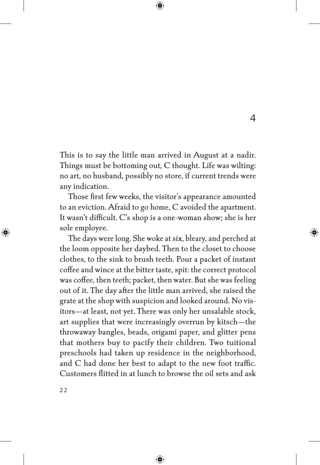This is to say the little man arrived in August at a nadir. Things must be bottoming out, C thought. Life was wilting: no art, no husband, possibly no store, if current trends were any indication.

⊕

Those first few weeks, the visitor's appearance amounted to an eviction. Afraid to go home, C avoided the apartment. It wasn't difficult. C's shop is a one-woman show; she is her sole employee.

The days were long. She woke at six, bleary, and perched at the loom opposite her daybed. Then to the closet to choose clothes, to the sink to brush teeth. Pour a packet of instant coffee and wince at the bitter taste, spit: the correct protocol was coffee, then teeth; packet, then water. But she was feeling out of it. The day after the little man arrived, she raised the grate at the shop with suspicion and looked around. No visitors—at least, not yet. There was only her unsalable stock, art supplies that were increasingly overrun by kitsch—the throwaway bangles, beads, origami paper, and glitter pens that mothers buy to pacify their children. Two tuitional preschools had taken up residence in the neighborhood, and C had done her best to adapt to the new foot traffic. Customers flitted in at lunch to browse the oil sets and ask

⊕

4

↔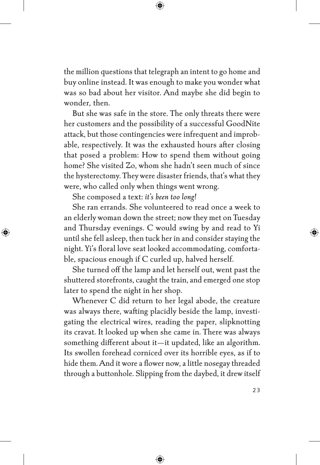the million questions that telegraph an intent to go home and buy online instead. It was enough to make you wonder what was so bad about her visitor. And maybe she did begin to wonder, then.

⊕

But she was safe in the store. The only threats there were her customers and the possibility of a successful GoodNite attack, but those contingencies were infrequent and improbable, respectively. It was the exhausted hours after closing that posed a problem: How to spend them without going home? She visited Zo, whom she hadn't seen much of since the hysterectomy. They were disaster friends, that's what they were, who called only when things went wrong.

She composed a text: *it's been too long!*

⊕

She ran errands. She volunteered to read once a week to an elderly woman down the street; now they met on Tuesday and Thursday evenings. C would swing by and read to Yi until she fell asleep, then tuck her in and consider staying the night. Yi's floral love seat looked accommodating, comfortable, spacious enough if C curled up, halved herself.

She turned off the lamp and let herself out, went past the shuttered storefronts, caught the train, and emerged one stop later to spend the night in her shop.

Whenever C did return to her legal abode, the creature was always there, wafting placidly beside the lamp, investigating the electrical wires, reading the paper, slipknotting its cravat. It looked up when she came in. There was always something different about it—it updated, like an algorithm. Its swollen forehead corniced over its horrible eyes, as if to hide them. And it wore a flower now, a little nosegay threaded through a buttonhole. Slipping from the daybed, it drew itself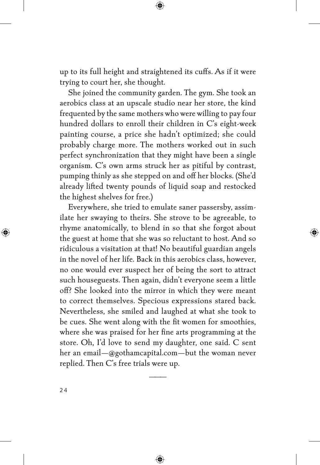up to its full height and straightened its cuffs. As if it were trying to court her, she thought.

⊕

She joined the community garden. The gym. She took an aerobics class at an upscale studio near her store, the kind frequented by the same mothers who were willing to pay four hundred dollars to enroll their children in C's eight-week painting course, a price she hadn't optimized; she could probably charge more. The mothers worked out in such perfect synchronization that they might have been a single organism. C's own arms struck her as pitiful by contrast, pumping thinly as she stepped on and off her blocks. (She'd already lifted twenty pounds of liquid soap and restocked the highest shelves for free.)

Everywhere, she tried to emulate saner passersby, assimilate her swaying to theirs. She strove to be agreeable, to rhyme anatomically, to blend in so that she forgot about the guest at home that she was so reluctant to host. And so ridiculous a visitation at that! No beautiful guardian angels in the novel of her life. Back in this aerobics class, however, no one would ever suspect her of being the sort to attract such houseguests. Then again, didn't everyone seem a little off? She looked into the mirror in which they were meant to correct themselves. Specious expressions stared back. Nevertheless, she smiled and laughed at what she took to be cues. She went along with the fit women for smoothies, where she was praised for her fine arts programming at the store. Oh, I'd love to send my daughter, one said. C sent her an email—@gothamcapital.com—but the woman never replied. Then C's free trials were up.

———

⊕

2 4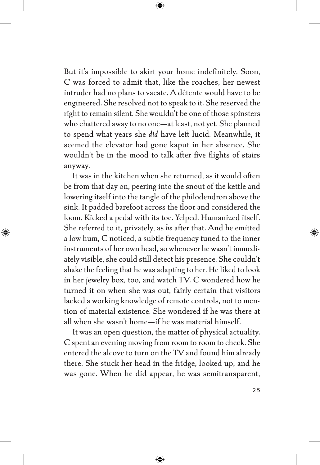But it's impossible to skirt your home indefinitely. Soon, C was forced to admit that, like the roaches, her newest intruder had no plans to vacate. A détente would have to be engineered. She resolved not to speak to it. She reserved the right to remain silent. She wouldn't be one of those spinsters who chattered away to no one—at least, not yet. She planned to spend what years she *did* have left lucid. Meanwhile, it seemed the elevator had gone kaput in her absence. She wouldn't be in the mood to talk after five flights of stairs anyway.

⊕

It was in the kitchen when she returned, as it would often be from that day on, peering into the snout of the kettle and lowering itself into the tangle of the philodendron above the sink. It padded barefoot across the floor and considered the loom. Kicked a pedal with its toe. Yelped. Humanized itself. She referred to it, privately, as *he* after that. And he emitted a low hum, C noticed, a subtle frequency tuned to the inner instruments of her own head, so whenever he wasn't immediately visible, she could still detect his presence. She couldn't shake the feeling that he was adapting to her. He liked to look in her jewelry box, too, and watch TV. C wondered how he turned it on when she was out, fairly certain that visitors lacked a working knowledge of remote controls, not to mention of material existence. She wondered if he was there at all when she wasn't home—if he was material himself.

⊕

It was an open question, the matter of physical actuality. C spent an evening moving from room to room to check. She entered the alcove to turn on the TV and found him already there. She stuck her head in the fridge, looked up, and he was gone. When he did appear, he was semitransparent,

⊕

2 5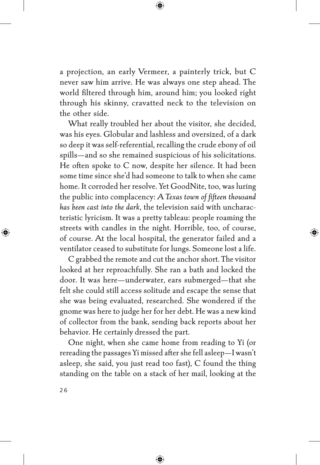a projection, an early Vermeer, a painterly trick, but C never saw him arrive. He was always one step ahead. The world filtered through him, around him; you looked right through his skinny, cravatted neck to the television on the other side.

⊕

What really troubled her about the visitor, she decided, was his eyes. Globular and lashless and oversized, of a dark so deep it was self-referential, recalling the crude ebony of oil spills—and so she remained suspicious of his solicitations. He often spoke to C now, despite her silence. It had been some time since she'd had someone to talk to when she came home. It corroded her resolve. Yet GoodNite, too, was luring the public into complacency: *A Texas town of fifteen thousand has been cast into the dark*, the television said with uncharacteristic lyricism. It was a pretty tableau: people roaming the streets with candles in the night. Horrible, too, of course, of course. At the local hospital, the generator failed and a ventilator ceased to substitute for lungs. Someone lost a life.

C grabbed the remote and cut the anchor short. The visitor looked at her reproachfully. She ran a bath and locked the door. It was here—underwater, ears submerged—that she felt she could still access solitude and escape the sense that she was being evaluated, researched. She wondered if the gnome was here to judge her for her debt. He was a new kind of collector from the bank, sending back reports about her behavior. He certainly dressed the part.

One night, when she came home from reading to Yi (or rereading the passages Yi missed after she fell asleep—I wasn't asleep, she said, you just read too fast), C found the thing standing on the table on a stack of her mail, looking at the

⊕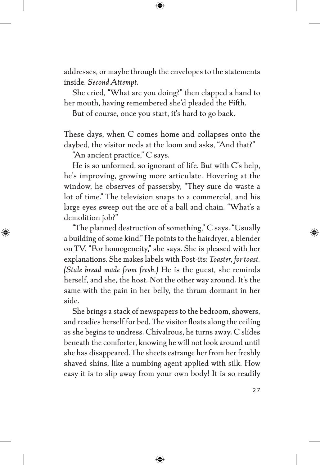addresses, or maybe through the envelopes to the statements inside. *Second Attempt.*

⊕

She cried, "What are you doing?" then clapped a hand to her mouth, having remembered she'd pleaded the Fifth.

But of course, once you start, it's hard to go back.

These days, when C comes home and collapses onto the daybed, the visitor nods at the loom and asks, "And that?"

"An ancient practice," C says.

⊕

He is so unformed, so ignorant of life. But with C's help, he's improving, growing more articulate. Hovering at the window, he observes of passersby, "They sure do waste a lot of time." The television snaps to a commercial, and his large eyes sweep out the arc of a ball and chain. "What's a demolition job?"

"The planned destruction of something," C says. "Usually a building of some kind." He points to the hairdryer, a blender on TV. "For homogeneity," she says. She is pleased with her explanations. She makes labels with Post-its: *Toaster, for toast. (Stale bread made from fresh.)* He is the guest, she reminds herself, and she, the host. Not the other way around. It's the same with the pain in her belly, the thrum dormant in her side.

She brings a stack of newspapers to the bedroom, showers, and readies herself for bed. The visitor floats along the ceiling as she begins to undress. Chivalrous, he turns away. C slides beneath the comforter, knowing he will not look around until she has disappeared. The sheets estrange her from her freshly shaved shins, like a numbing agent applied with silk. How easy it is to slip away from your own body! It is so readily